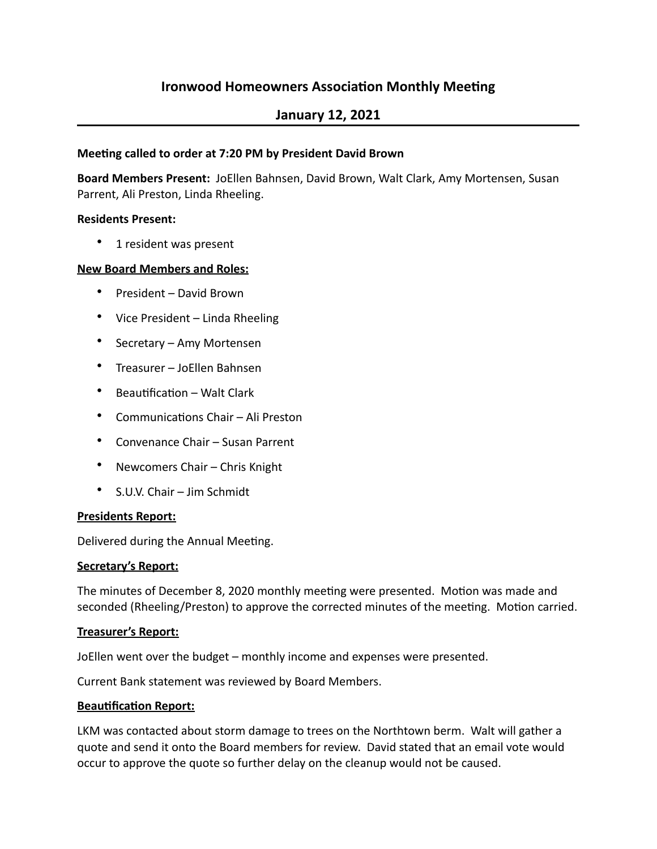# **Ironwood Homeowners Association Monthly Meeting**

# **January 12, 2021**

### **Meeting called to order at 7:20 PM by President David Brown**

**Board Members Present:** JoEllen Bahnsen, David Brown, Walt Clark, Amy Mortensen, Susan Parrent, Ali Preston, Linda Rheeling.

### **Residents Present:**

• 1 resident was present

### **New Board Members and Roles:**

- President David Brown
- Vice President Linda Rheeling
- Secretary Amy Mortensen
- Treasurer JoEllen Bahnsen
- $\bullet$  Beautification Walt Clark
- Communications Chair Ali Preston
- Convenance Chair Susan Parrent
- Newcomers Chair Chris Knight
- S.U.V. Chair Jim Schmidt

#### **Presidents Report:**

Delivered during the Annual Meeting.

#### **Secretary's Report:**

The minutes of December 8, 2020 monthly meeting were presented. Motion was made and seconded (Rheeling/Preston) to approve the corrected minutes of the meeting. Motion carried.

#### **Treasurer's Report:**

JoEllen went over the budget – monthly income and expenses were presented.

Current Bank statement was reviewed by Board Members.

#### **Beautification Report:**

LKM was contacted about storm damage to trees on the Northtown berm. Walt will gather a quote and send it onto the Board members for review. David stated that an email vote would occur to approve the quote so further delay on the cleanup would not be caused.